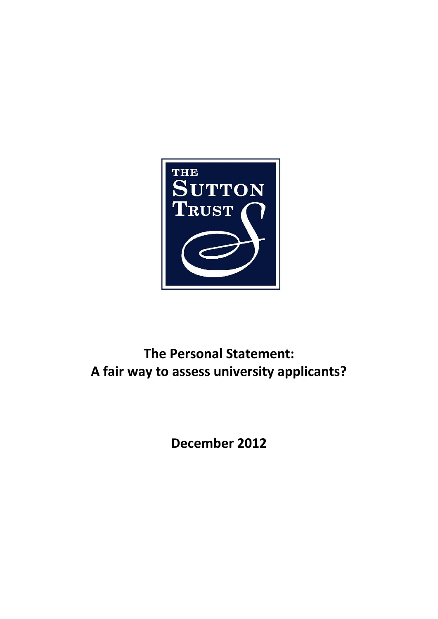

# **The Personal Statement: A fair way to assess university applicants?**

**December 2012**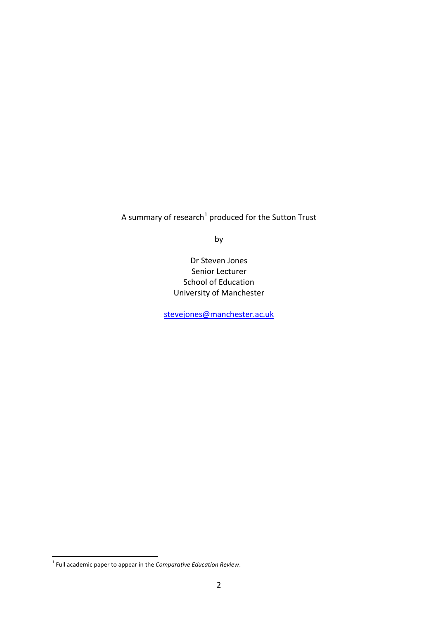A summary of research<sup>1</sup> produced for the Sutton Trust

by

Dr Steven Jones Senior Lecturer School of Education University of Manchester

[stevejones@manchester.ac.uk](mailto:stevejones@manchester.ac.uk)

 1 Full academic paper to appear in the *Comparative Education Review*.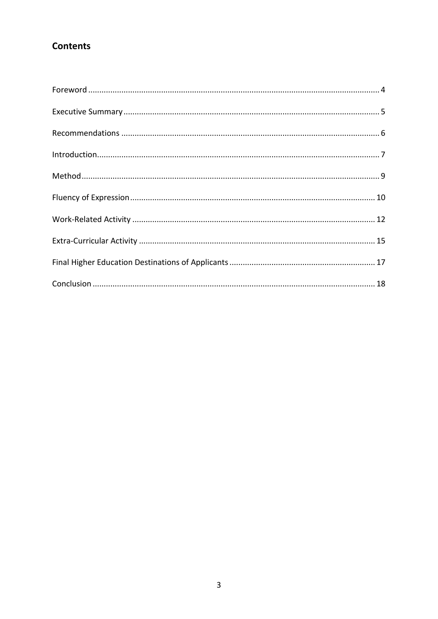# **Contents**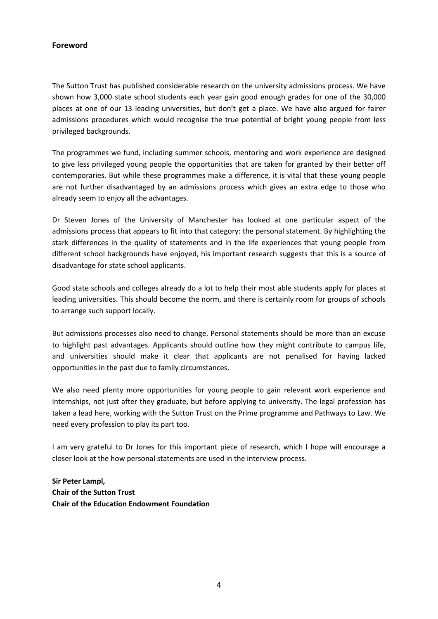#### <span id="page-3-0"></span>**Foreword**

The Sutton Trust has published considerable research on the university admissions process. We have shown how 3,000 state school students each year gain good enough grades for one of the 30,000 places at one of our 13 leading universities, but don't get a place. We have also argued for fairer admissions procedures which would recognise the true potential of bright young people from less privileged backgrounds.

The programmes we fund, including summer schools, mentoring and work experience are designed to give less privileged young people the opportunities that are taken for granted by their better off contemporaries. But while these programmes make a difference, it is vital that these young people are not further disadvantaged by an admissions process which gives an extra edge to those who already seem to enjoy all the advantages.

Dr Steven Jones of the University of Manchester has looked at one particular aspect of the admissions process that appears to fit into that category: the personal statement. By highlighting the stark differences in the quality of statements and in the life experiences that young people from different school backgrounds have enjoyed, his important research suggests that this is a source of disadvantage for state school applicants.

Good state schools and colleges already do a lot to help their most able students apply for places at leading universities. This should become the norm, and there is certainly room for groups of schools to arrange such support locally.

But admissions processes also need to change. Personal statements should be more than an excuse to highlight past advantages. Applicants should outline how they might contribute to campus life, and universities should make it clear that applicants are not penalised for having lacked opportunities in the past due to family circumstances.

We also need plenty more opportunities for young people to gain relevant work experience and internships, not just after they graduate, but before applying to university. The legal profession has taken a lead here, working with the Sutton Trust on the Prime programme and Pathways to Law. We need every profession to play its part too.

I am very grateful to Dr Jones for this important piece of research, which I hope will encourage a closer look at the how personal statements are used in the interview process.

**Sir Peter Lampl, Chair of the Sutton Trust Chair of the Education Endowment Foundation**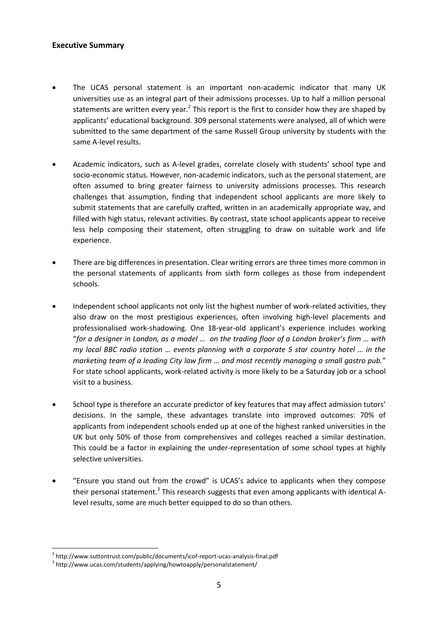#### <span id="page-4-0"></span>**Executive Summary**

- The UCAS personal statement is an important non-academic indicator that many UK universities use as an integral part of their admissions processes. Up to half a million personal statements are written every year.<sup>2</sup> This report is the first to consider how they are shaped by applicants' educational background. 309 personal statements were analysed, all of which were submitted to the same department of the same Russell Group university by students with the same A-level results.
- Academic indicators, such as A-level grades, correlate closely with students' school type and socio-economic status. However, non-academic indicators, such as the personal statement, are often assumed to bring greater fairness to university admissions processes. This research challenges that assumption, finding that independent school applicants are more likely to submit statements that are carefully crafted, written in an academically appropriate way, and filled with high status, relevant activities. By contrast, state school applicants appear to receive less help composing their statement, often struggling to draw on suitable work and life experience.
- There are big differences in presentation. Clear writing errors are three times more common in the personal statements of applicants from sixth form colleges as those from independent schools.
- Independent school applicants not only list the highest number of work-related activities, they also draw on the most prestigious experiences, often involving high-level placements and professionalised work-shadowing. One 18-year-old applicant's experience includes working "*for a designer in London, as a model … on the trading floor of a London broker's firm … with my local BBC radio station … events planning with a corporate 5 star country hotel … in the marketing team of a leading City law firm … and most recently managing a small gastro pub.*" For state school applicants, work-related activity is more likely to be a Saturday job or a school visit to a business.
- School type is therefore an accurate predictor of key features that may affect admission tutors' decisions. In the sample, these advantages translate into improved outcomes: 70% of applicants from independent schools ended up at one of the highest ranked universities in the UK but only 50% of those from comprehensives and colleges reached a similar destination. This could be a factor in explaining the under-representation of some school types at highly selective universities.
- "Ensure you stand out from the crowd" is UCAS's advice to applicants when they compose their personal statement.<sup>3</sup> This research suggests that even among applicants with identical Alevel results, some are much better equipped to do so than others.

<sup>&</sup>lt;sup>2</sup> http://www.suttontrust.com/public/documents/icof-report-ucas-analysis-final.pdf

<sup>&</sup>lt;sup>3</sup> http://www.ucas.com/students/applying/howtoapply/personalstatement/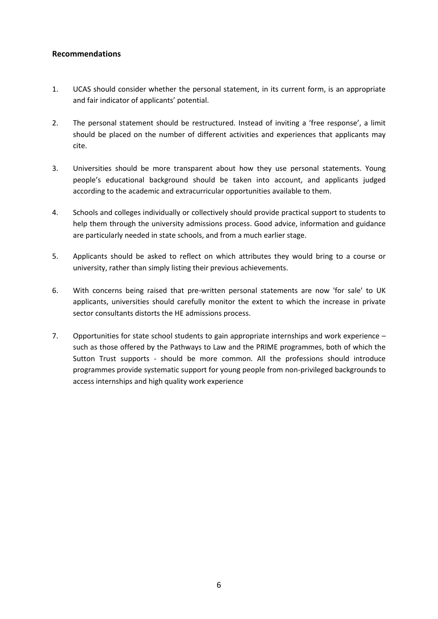### <span id="page-5-0"></span>**Recommendations**

- 1. UCAS should consider whether the personal statement, in its current form, is an appropriate and fair indicator of applicants' potential.
- 2. The personal statement should be restructured. Instead of inviting a 'free response', a limit should be placed on the number of different activities and experiences that applicants may cite.
- 3. Universities should be more transparent about how they use personal statements. Young people's educational background should be taken into account, and applicants judged according to the academic and extracurricular opportunities available to them.
- 4. Schools and colleges individually or collectively should provide practical support to students to help them through the university admissions process. Good advice, information and guidance are particularly needed in state schools, and from a much earlier stage.
- 5. Applicants should be asked to reflect on which attributes they would bring to a course or university, rather than simply listing their previous achievements.
- 6. With concerns being raised that pre-written personal statements are now 'for sale' to UK applicants, universities should carefully monitor the extent to which the increase in private sector consultants distorts the HE admissions process.
- 7. Opportunities for state school students to gain appropriate internships and work experience such as those offered by the Pathways to Law and the PRIME programmes, both of which the Sutton Trust supports - should be more common. All the professions should introduce programmes provide systematic support for young people from non-privileged backgrounds to access internships and high quality work experience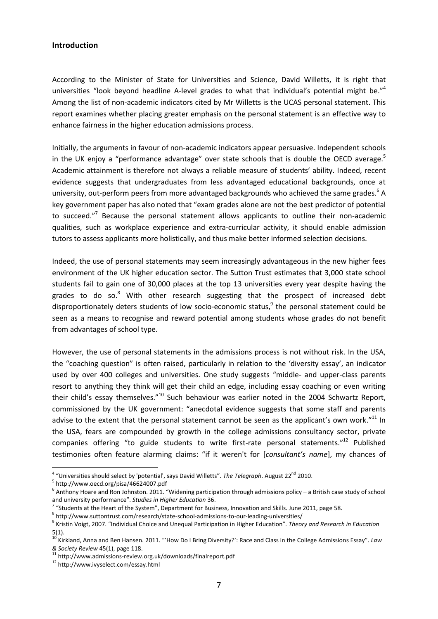#### <span id="page-6-0"></span>**Introduction**

According to the Minister of State for Universities and Science, David Willetts, it is right that universities "look beyond headline A-level grades to what that individual's potential might be."<sup>4</sup> Among the list of non-academic indicators cited by Mr Willetts is the UCAS personal statement. This report examines whether placing greater emphasis on the personal statement is an effective way to enhance fairness in the higher education admissions process.

Initially, the arguments in favour of non-academic indicators appear persuasive. Independent schools in the UK enjoy a "performance advantage" over state schools that is double the OECD average.<sup>5</sup> Academic attainment is therefore not always a reliable measure of students' ability. Indeed, recent evidence suggests that undergraduates from less advantaged educational backgrounds, once at university, out-perform peers from more advantaged backgrounds who achieved the same grades.<sup>6</sup> A key government paper has also noted that "exam grades alone are not the best predictor of potential to succeed."<sup>7</sup> Because the personal statement allows applicants to outline their non-academic qualities, such as workplace experience and extra-curricular activity, it should enable admission tutors to assess applicants more holistically, and thus make better informed selection decisions.

Indeed, the use of personal statements may seem increasingly advantageous in the new higher fees environment of the UK higher education sector. The Sutton Trust estimates that 3,000 state school students fail to gain one of 30,000 places at the top 13 universities every year despite having the grades to do so.<sup>8</sup> With other research suggesting that the prospect of increased debt disproportionately deters students of low socio-economic status, 9 the personal statement could be seen as a means to recognise and reward potential among students whose grades do not benefit from advantages of school type.

However, the use of personal statements in the admissions process is not without risk. In the USA, the "coaching question" is often raised, particularly in relation to the 'diversity essay', an indicator used by over 400 colleges and universities. One study suggests "middle- and upper-class parents resort to anything they think will get their child an edge, including essay coaching or even writing their child's essay themselves."<sup>10</sup> Such behaviour was earlier noted in the 2004 Schwartz Report, commissioned by the UK government: "anecdotal evidence suggests that some staff and parents advise to the extent that the personal statement cannot be seen as the applicant's own work."<sup>11</sup> In the USA, fears are compounded by growth in the college admissions consultancy sector, private companies offering "to guide students to write first-rate personal statements."<sup>12</sup> Published testimonies often feature alarming claims: "if it weren't for [*consultant's name*], my chances of

<sup>&</sup>lt;sup>4</sup> "Universities should select by 'potential', says David Willetts". *The Telegraph*. August 22<sup>nd</sup> 2010.

<sup>5</sup> http://www.oecd.org/pisa/46624007.pdf

 $^6$  Anthony Hoare and Ron Johnston. 2011. "Widening participation through admissions policy – a British case study of school and university performance". *Studies in Higher Education* 36.

 $^7$  "Students at the Heart of the System", Department for Business, Innovation and Skills. June 2011, page 58.

<sup>&</sup>lt;sup>8</sup> http://www.suttontrust.com/research/state-school-admissions-to-our-leading-universities/

<sup>9</sup> Kristin Voigt, 2007. "Individual Choice and Unequal Participation in Higher Education". *Theory and Research in Education* 5(1).

<sup>10</sup> Kirkland, Anna and Ben Hansen. 2011. "'How Do I Bring Diversity?': Race and Class in the College Admissions Essay". *Law & Society Review* 45(1), page 118.

<sup>11</sup> <http://www.admissions-review.org.uk/downloads/finalreport.pdf>

<sup>12</sup> http://www.ivyselect.com/essay.html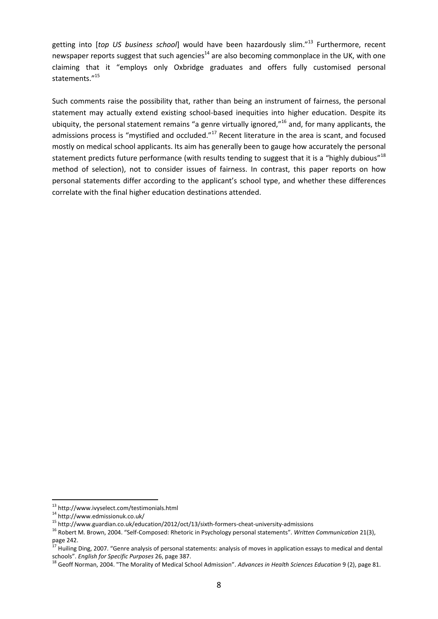getting into [*top US business school*] would have been hazardously slim."<sup>13</sup> Furthermore, recent newspaper reports suggest that such agencies<sup>14</sup> are also becoming commonplace in the UK, with one claiming that it "employs only Oxbridge graduates and offers fully customised personal statements."<sup>15</sup>

Such comments raise the possibility that, rather than being an instrument of fairness, the personal statement may actually extend existing school-based inequities into higher education. Despite its ubiquity, the personal statement remains "a genre virtually ignored,"<sup>16</sup> and, for many applicants, the admissions process is "mystified and occluded."<sup>17</sup> Recent literature in the area is scant, and focused mostly on medical school applicants. Its aim has generally been to gauge how accurately the personal statement predicts future performance (with results tending to suggest that it is a "highly dubious"<sup>18</sup> method of selection), not to consider issues of fairness. In contrast, this paper reports on how personal statements differ according to the applicant's school type, and whether these differences correlate with the final higher education destinations attended.

<sup>13</sup> http://www.ivyselect.com/testimonials.html

 $14 \text{ http://www.edmissionuk.co.uk/}$ 

<sup>15</sup> http://www.guardian.co.uk/education/2012/oct/13/sixth-formers-cheat-university-admissions

<sup>16</sup> Robert M. Brown, 2004. "Self-Composed: Rhetoric in Psychology personal statements". *Written Communication* 21(3), page 242.

<sup>&</sup>lt;sup>17</sup> Huiling Ding, 2007. "Genre analysis of personal statements: analysis of moves in application essays to medical and dental schools". *English for Specific Purposes* 26, page 387.

<sup>18</sup> Geoff Norman, 2004. "The Morality of Medical School Admission". *Advances in Health Sciences Education* 9 (2), page 81.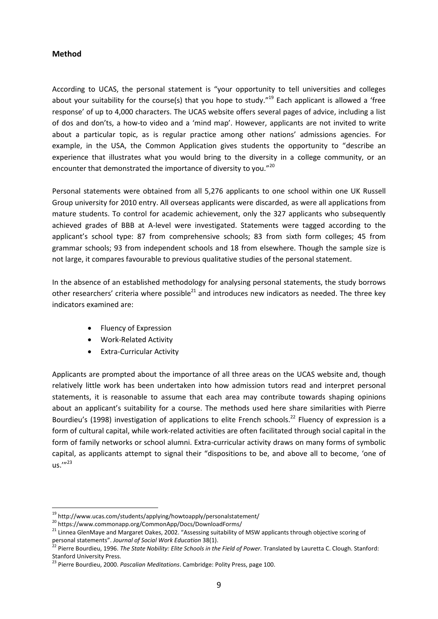#### <span id="page-8-0"></span>**Method**

According to UCAS, the personal statement is "your opportunity to tell universities and colleges about your suitability for the course(s) that you hope to study."<sup>19</sup> Each applicant is allowed a 'free response' of up to 4,000 characters. The UCAS website offers several pages of advice, including a list of dos and don'ts, a how-to video and a 'mind map'. However, applicants are not invited to write about a particular topic, as is regular practice among other nations' admissions agencies. For example, in the USA, the Common Application gives students the opportunity to "describe an experience that illustrates what you would bring to the diversity in a college community, or an encounter that demonstrated the importance of diversity to you."20

Personal statements were obtained from all 5,276 applicants to one school within one UK Russell Group university for 2010 entry. All overseas applicants were discarded, as were all applications from mature students. To control for academic achievement, only the 327 applicants who subsequently achieved grades of BBB at A-level were investigated. Statements were tagged according to the applicant's school type: 87 from comprehensive schools; 83 from sixth form colleges; 45 from grammar schools; 93 from independent schools and 18 from elsewhere. Though the sample size is not large, it compares favourable to previous qualitative studies of the personal statement.

In the absence of an established methodology for analysing personal statements, the study borrows other researchers' criteria where possible $^{21}$  and introduces new indicators as needed. The three key indicators examined are:

- Fluency of Expression
- Work-Related Activity
- Extra-Curricular Activity

Applicants are prompted about the importance of all three areas on the UCAS website and, though relatively little work has been undertaken into how admission tutors read and interpret personal statements, it is reasonable to assume that each area may contribute towards shaping opinions about an applicant's suitability for a course. The methods used here share similarities with Pierre Bourdieu's (1998) investigation of applications to elite French schools.<sup>22</sup> Fluency of expression is a form of cultural capital, while work-related activities are often facilitated through social capital in the form of family networks or school alumni. Extra-curricular activity draws on many forms of symbolic capital, as applicants attempt to signal their "dispositions to be, and above all to become, 'one of  $\mathsf{u}$ s.'"<sup>23</sup>

<sup>&</sup>lt;sup>19</sup> http://www.ucas.com/students/applying/howtoapply/personalstatement/

<sup>20</sup> https://www.commonapp.org/CommonApp/Docs/DownloadForms/

<sup>&</sup>lt;sup>21</sup> Linnea GlenMaye and Margaret Oakes, 2002. "Assessing suitability of MSW applicants through objective scoring of personal statements". *Journal of Social Work Education* 38(1).

<sup>22</sup> Pierre Bourdieu, 1996. *The State Nobility: Elite Schools in the Field of Power.* Translated by Lauretta C. Clough. Stanford: Stanford University Press.

<sup>23</sup> Pierre Bourdieu, 2000. *Pascalian Meditations*. Cambridge: Polity Press, page 100.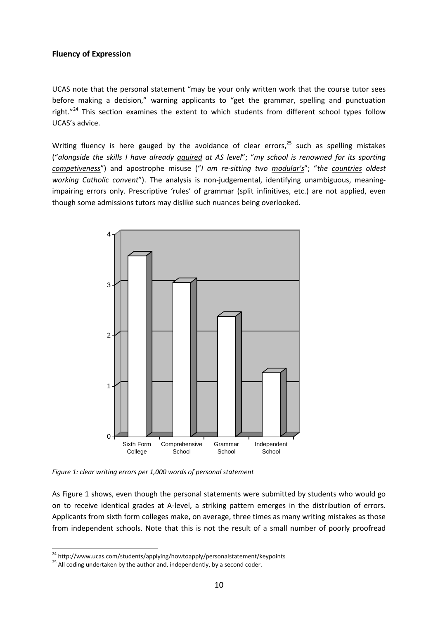#### <span id="page-9-0"></span>**Fluency of Expression**

UCAS note that the personal statement "may be your only written work that the course tutor sees before making a decision," warning applicants to "get the grammar, spelling and punctuation right."<sup>24</sup> This section examines the extent to which students from different school types follow UCAS's advice.

Writing fluency is here gauged by the avoidance of clear errors, $^{25}$  such as spelling mistakes ("*alongside the skills I have already aquired at AS level*"; "*my school is renowned for its sporting competiveness*") and apostrophe misuse ("*I am re-sitting two modular's*"; "*the countries oldest working Catholic convent*"). The analysis is non-judgemental, identifying unambiguous, meaningimpairing errors only. Prescriptive 'rules' of grammar (split infinitives, etc.) are not applied, even though some admissions tutors may dislike such nuances being overlooked.



*Figure 1: clear writing errors per 1,000 words of personal statement*

As Figure 1 shows, even though the personal statements were submitted by students who would go on to receive identical grades at A-level, a striking pattern emerges in the distribution of errors. Applicants from sixth form colleges make, on average, three times as many writing mistakes as those from independent schools. Note that this is not the result of a small number of poorly proofread

<sup>&</sup>lt;sup>24</sup> http://www.ucas.com/students/applying/howtoapply/personalstatement/keypoints

<sup>&</sup>lt;sup>25</sup> All coding undertaken by the author and, independently, by a second coder.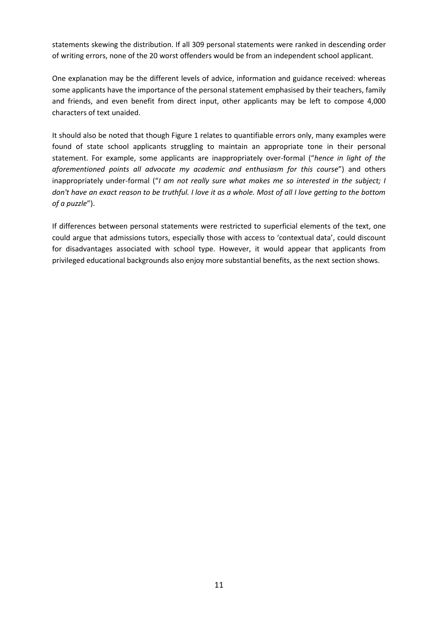statements skewing the distribution. If all 309 personal statements were ranked in descending order of writing errors, none of the 20 worst offenders would be from an independent school applicant.

One explanation may be the different levels of advice, information and guidance received: whereas some applicants have the importance of the personal statement emphasised by their teachers, family and friends, and even benefit from direct input, other applicants may be left to compose 4,000 characters of text unaided.

It should also be noted that though Figure 1 relates to quantifiable errors only, many examples were found of state school applicants struggling to maintain an appropriate tone in their personal statement. For example, some applicants are inappropriately over-formal ("*hence in light of the aforementioned points all advocate my academic and enthusiasm for this course*") and others inappropriately under-formal ("*I am not really sure what makes me so interested in the subject; I don't have an exact reason to be truthful. I love it as a whole. Most of all I love getting to the bottom of a puzzle*").

If differences between personal statements were restricted to superficial elements of the text, one could argue that admissions tutors, especially those with access to 'contextual data', could discount for disadvantages associated with school type. However, it would appear that applicants from privileged educational backgrounds also enjoy more substantial benefits, as the next section shows.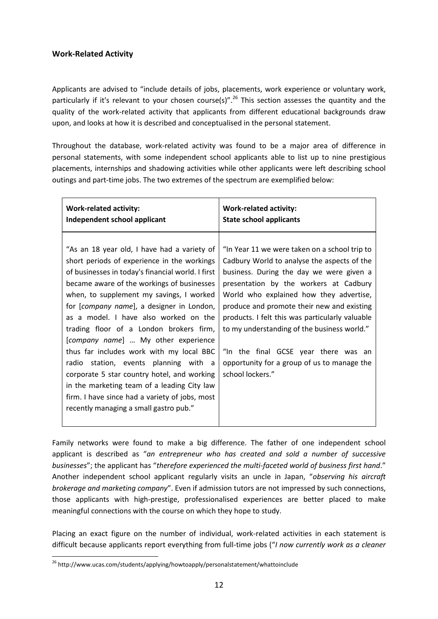# <span id="page-11-0"></span>**Work-Related Activity**

Applicants are advised to "include details of jobs, placements, work experience or voluntary work, particularly if it's relevant to your chosen course(s)".<sup>26</sup> This section assesses the quantity and the quality of the work-related activity that applicants from different educational backgrounds draw upon, and looks at how it is described and conceptualised in the personal statement.

Throughout the database, work-related activity was found to be a major area of difference in personal statements, with some independent school applicants able to list up to nine prestigious placements, internships and shadowing activities while other applicants were left describing school outings and part-time jobs. The two extremes of the spectrum are exemplified below:

| <b>Work-related activity:</b>                                                                                                                                                                                                                                                                                                                                                                                                                                                                                                                                                                                                                                                                    | <b>Work-related activity:</b>                                                                                                                                                                                                                                                                                                                                                                                                                                                            |
|--------------------------------------------------------------------------------------------------------------------------------------------------------------------------------------------------------------------------------------------------------------------------------------------------------------------------------------------------------------------------------------------------------------------------------------------------------------------------------------------------------------------------------------------------------------------------------------------------------------------------------------------------------------------------------------------------|------------------------------------------------------------------------------------------------------------------------------------------------------------------------------------------------------------------------------------------------------------------------------------------------------------------------------------------------------------------------------------------------------------------------------------------------------------------------------------------|
| Independent school applicant                                                                                                                                                                                                                                                                                                                                                                                                                                                                                                                                                                                                                                                                     | <b>State school applicants</b>                                                                                                                                                                                                                                                                                                                                                                                                                                                           |
| "As an 18 year old, I have had a variety of<br>short periods of experience in the workings<br>of businesses in today's financial world. I first<br>became aware of the workings of businesses<br>when, to supplement my savings, I worked<br>for [company name], a designer in London,<br>as a model. I have also worked on the<br>trading floor of a London brokers firm,<br>[company name]  My other experience<br>thus far includes work with my local BBC<br>radio station, events planning with a<br>corporate 5 star country hotel, and working<br>in the marketing team of a leading City law<br>firm. I have since had a variety of jobs, most<br>recently managing a small gastro pub." | "In Year 11 we were taken on a school trip to<br>Cadbury World to analyse the aspects of the<br>business. During the day we were given a<br>presentation by the workers at Cadbury<br>World who explained how they advertise,<br>produce and promote their new and existing<br>products. I felt this was particularly valuable<br>to my understanding of the business world."<br>"In the final GCSE year there was an<br>opportunity for a group of us to manage the<br>school lockers." |

Family networks were found to make a big difference. The father of one independent school applicant is described as "*an entrepreneur who has created and sold a number of successive businesses*"; the applicant has "*therefore experienced the multi-faceted world of business first hand*." Another independent school applicant regularly visits an uncle in Japan, "*observing his aircraft brokerage and marketing company*". Even if admission tutors are not impressed by such connections, those applicants with high-prestige, professionalised experiences are better placed to make meaningful connections with the course on which they hope to study.

Placing an exact figure on the number of individual, work-related activities in each statement is difficult because applicants report everything from full-time jobs ("*I now currently work as a cleaner* 

 $\overline{a}$ <sup>26</sup> http://www.ucas.com/students/applying/howtoapply/personalstatement/whattoinclude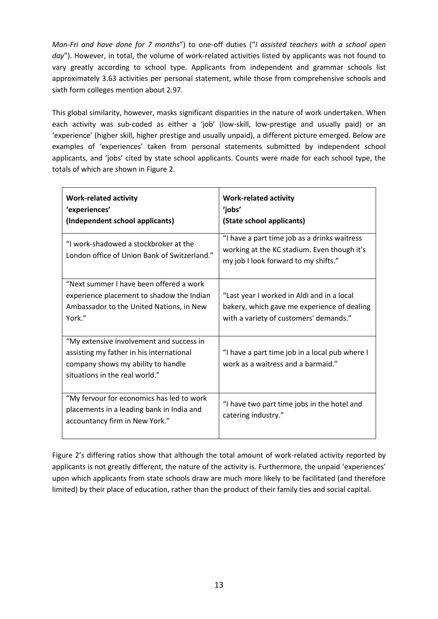*Mon-Fri and have done for 7 months*") to one-off duties ("*I assisted teachers with a school open day*"). However, in total, the volume of work-related activities listed by applicants was not found to vary greatly according to school type. Applicants from independent and grammar schools list approximately 3.63 activities per personal statement, while those from comprehensive schools and sixth form colleges mention about 2.97.

This global similarity, however, masks significant disparities in the nature of work undertaken. When each activity was sub-coded as either a 'job' (low-skill, low-prestige and usually paid) or an 'experience' (higher skill, higher prestige and usually unpaid), a different picture emerged. Below are examples of 'experiences' taken from personal statements submitted by independent school applicants, and 'jobs' cited by state school applicants. Counts were made for each school type, the totals of which are shown in Figure 2.

| <b>Work-related activity</b><br>'experiences'<br>(Independent school applicants)                                                                             | <b>Work-related activity</b><br>'jobs'<br>(State school applicants)                                                                 |
|--------------------------------------------------------------------------------------------------------------------------------------------------------------|-------------------------------------------------------------------------------------------------------------------------------------|
| "I work-shadowed a stockbroker at the<br>London office of Union Bank of Switzerland."                                                                        | "I have a part time job as a drinks waitress<br>working at the KC stadium. Even though it's<br>my job I look forward to my shifts." |
| "Next summer I have been offered a work<br>experience placement to shadow the Indian<br>Ambassador to the United Nations, in New<br>York."                   | "Last year I worked in Aldi and in a local<br>bakery, which gave me experience of dealing<br>with a variety of customers' demands." |
| "My extensive involvement and success in<br>assisting my father in his international<br>company shows my ability to handle<br>situations in the real world." | "I have a part time job in a local pub where I<br>work as a waitress and a barmaid."                                                |
| "My fervour for economics has led to work<br>placements in a leading bank in India and<br>accountancy firm in New York."                                     | "I have two part time jobs in the hotel and<br>catering industry."                                                                  |

Figure 2's differing ratios show that although the total amount of work-related activity reported by applicants is not greatly different, the nature of the activity is. Furthermore, the unpaid 'experiences' upon which applicants from state schools draw are much more likely to be facilitated (and therefore limited) by their place of education, rather than the product of their family ties and social capital.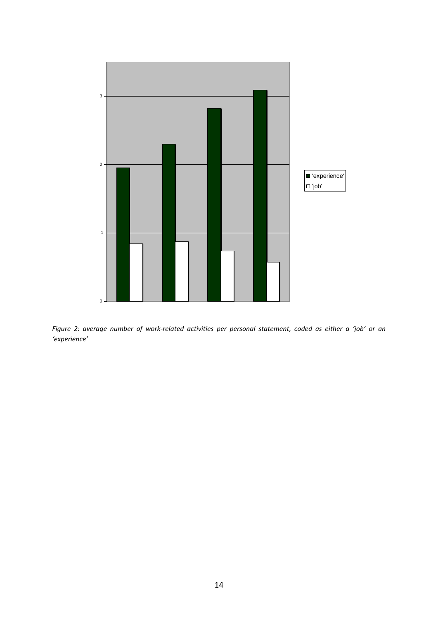

*Figure 2: average number of work-related activities per personal statement, coded as either a 'job' or an 'experience'*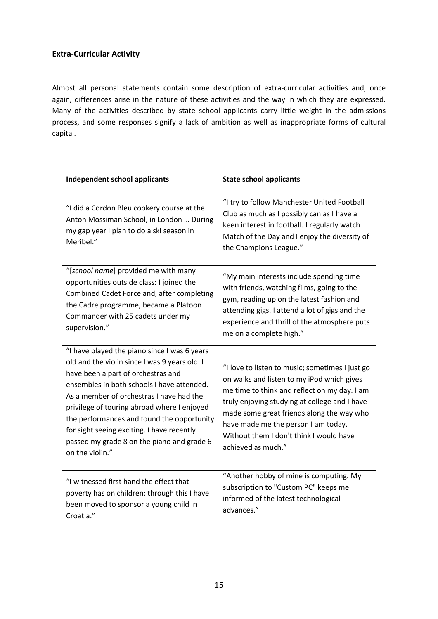# <span id="page-14-0"></span>**Extra-Curricular Activity**

Almost all personal statements contain some description of extra-curricular activities and, once again, differences arise in the nature of these activities and the way in which they are expressed. Many of the activities described by state school applicants carry little weight in the admissions process, and some responses signify a lack of ambition as well as inappropriate forms of cultural capital.

| <b>Independent school applicants</b>                                                                                                                                                                                                                                                                                                                                                                                                      | <b>State school applicants</b>                                                                                                                                                                                                                                                                                                                      |
|-------------------------------------------------------------------------------------------------------------------------------------------------------------------------------------------------------------------------------------------------------------------------------------------------------------------------------------------------------------------------------------------------------------------------------------------|-----------------------------------------------------------------------------------------------------------------------------------------------------------------------------------------------------------------------------------------------------------------------------------------------------------------------------------------------------|
| "I did a Cordon Bleu cookery course at the<br>Anton Mossiman School, in London  During<br>my gap year I plan to do a ski season in<br>Meribel."                                                                                                                                                                                                                                                                                           | "I try to follow Manchester United Football<br>Club as much as I possibly can as I have a<br>keen interest in football. I regularly watch<br>Match of the Day and I enjoy the diversity of<br>the Champions League."                                                                                                                                |
| "[school name] provided me with many<br>opportunities outside class: I joined the<br>Combined Cadet Force and, after completing<br>the Cadre programme, became a Platoon<br>Commander with 25 cadets under my<br>supervision."                                                                                                                                                                                                            | "My main interests include spending time<br>with friends, watching films, going to the<br>gym, reading up on the latest fashion and<br>attending gigs. I attend a lot of gigs and the<br>experience and thrill of the atmosphere puts<br>me on a complete high."                                                                                    |
| "I have played the piano since I was 6 years<br>old and the violin since I was 9 years old. I<br>have been a part of orchestras and<br>ensembles in both schools I have attended.<br>As a member of orchestras I have had the<br>privilege of touring abroad where I enjoyed<br>the performances and found the opportunity<br>for sight seeing exciting. I have recently<br>passed my grade 8 on the piano and grade 6<br>on the violin." | "I love to listen to music; sometimes I just go<br>on walks and listen to my iPod which gives<br>me time to think and reflect on my day. I am<br>truly enjoying studying at college and I have<br>made some great friends along the way who<br>have made me the person I am today.<br>Without them I don't think I would have<br>achieved as much." |
| "I witnessed first hand the effect that<br>poverty has on children; through this I have<br>been moved to sponsor a young child in<br>Croatia."                                                                                                                                                                                                                                                                                            | "Another hobby of mine is computing. My<br>subscription to "Custom PC" keeps me<br>informed of the latest technological<br>advances."                                                                                                                                                                                                               |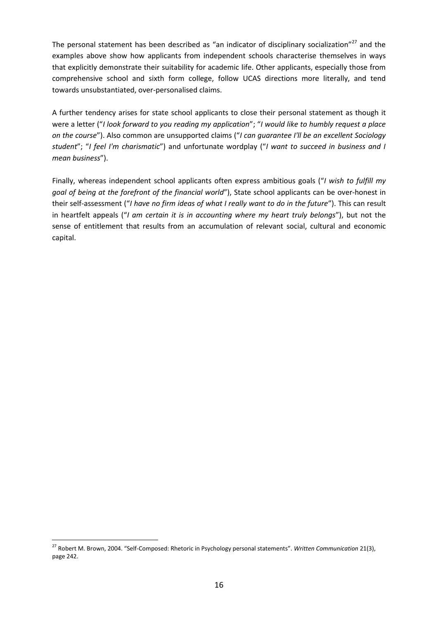The personal statement has been described as "an indicator of disciplinary socialization"<sup>27</sup> and the examples above show how applicants from independent schools characterise themselves in ways that explicitly demonstrate their suitability for academic life. Other applicants, especially those from comprehensive school and sixth form college, follow UCAS directions more literally, and tend towards unsubstantiated, over-personalised claims.

A further tendency arises for state school applicants to close their personal statement as though it were a letter ("*I look forward to you reading my application*"; "*I would like to humbly request a place on the course*"). Also common are unsupported claims ("*I can guarantee I'll be an excellent Sociology student*"; "*I feel I'm charismatic*") and unfortunate wordplay ("*I want to succeed in business and I mean business*").

Finally, whereas independent school applicants often express ambitious goals ("*I wish to fulfill my goal of being at the forefront of the financial world*"), State school applicants can be over-honest in their self-assessment ("*I have no firm ideas of what I really want to do in the future*"). This can result in heartfelt appeals ("*I am certain it is in accounting where my heart truly belongs*"), but not the sense of entitlement that results from an accumulation of relevant social, cultural and economic capital.

<sup>27</sup> Robert M. Brown, 2004. "Self-Composed: Rhetoric in Psychology personal statements". *Written Communication* 21(3), page 242.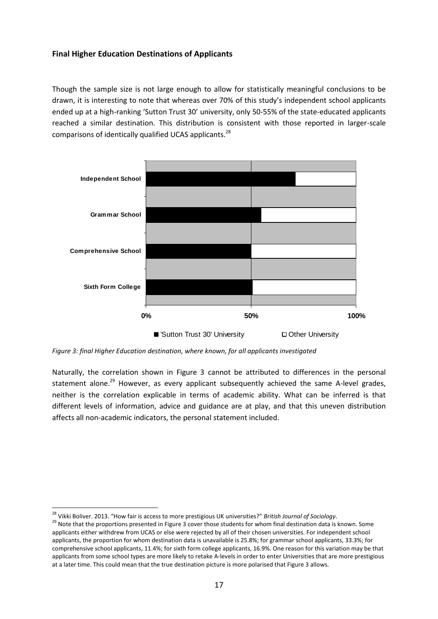# <span id="page-16-0"></span>**Final Higher Education Destinations of Applicants**

Though the sample size is not large enough to allow for statistically meaningful conclusions to be drawn, it is interesting to note that whereas over 70% of this study's independent school applicants ended up at a high-ranking 'Sutton Trust 30' university, only 50-55% of the state-educated applicants reached a similar destination. This distribution is consistent with those reported in larger-scale comparisons of identically qualified UCAS applicants.<sup>28</sup>



*Figure 3: final Higher Education destination, where known, for all applicants investigated*

Naturally, the correlation shown in Figure 3 cannot be attributed to differences in the personal statement alone.<sup>29</sup> However, as every applicant subsequently achieved the same A-level grades, neither is the correlation explicable in terms of academic ability. What can be inferred is that different levels of information, advice and guidance are at play, and that this uneven distribution affects all non-academic indicators, the personal statement included.

<sup>28</sup> Vikki Boliver. 2013. "How fair is access to more prestigious UK universities?" *British Journal of Sociology*.

<sup>&</sup>lt;sup>29</sup> Note that the proportions presented in Figure 3 cover those students for whom final destination data is known. Some applicants either withdrew from UCAS or else were rejected by all of their chosen universities. For independent school applicants, the proportion for whom destination data is unavailable is 25.8%; for grammar school applicants, 33.3%; for comprehensive school applicants, 11.4%; for sixth form college applicants, 16.9%. One reason for this variation may be that applicants from some school types are more likely to retake A-levels in order to enter Universities that are more prestigious at a later time. This could mean that the true destination picture is more polarised that Figure 3 allows.